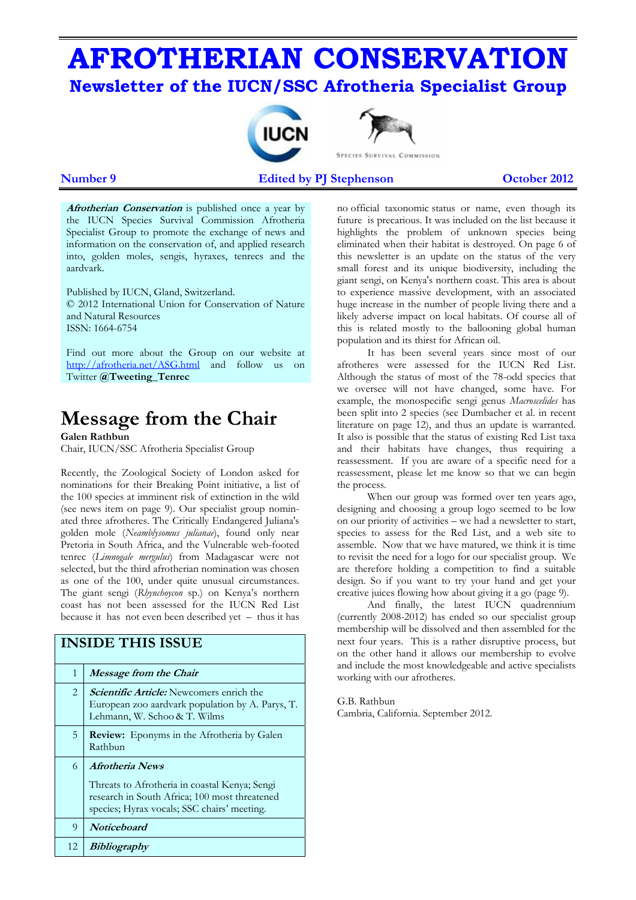# **AFROTHERIAN CONSERVATION Newsletter of the IUCN/SSC Afrotheria Specialist Group**





**Number 9 2012** Edited by PJ Stephenson 2012

**Afrotherian Conservation** is published once a year by the IUCN Species Survival Commission Afrotheria Specialist Group to promote the exchange of news and information on the conservation of, and applied research into, golden moles, sengis, hyraxes, tenrecs and the aardvark.

Published by IUCN, Gland, Switzerland. © 2012 International Union for Conservation of Nature and Natural Resources ISSN: 1664-6754

Find out more about the Group on our website at http://afrotheria.net/ASG.html and follow us on Twitter **@Tweeting\_Tenrec** 

## **Message from the Chair**

**Galen Rathbun** 

Chair, IUCN/SSC Afrotheria Specialist Group

Recently, the Zoological Society of London asked for nominations for their Breaking Point initiative, a list of the 100 species at imminent risk of extinction in the wild (see news item on page 9). Our specialist group nominated three afrotheres. The Critically Endangered Juliana's golden mole (*Neamblysomus julianae*), found only near Pretoria in South Africa, and the Vulnerable web-footed tenrec (*Limnogale mergulus*) from Madagascar were not selected, but the third afrotherian nomination was chosen as one of the 100, under quite unusual circumstances. The giant sengi (*Rhynchoycon* sp.) on Kenya's northern coast has not been assessed for the IUCN Red List because it has not even been described yet – thus it has

## **INSIDE THIS ISSUE**  1 **Message from the Chair**  2 **Scientific Article:** Newcomers enrich the European zoo aardvark population by A. Parys, T. Lehmann, W. Schoo & T. Wilms 5 **Review:** Eponyms in the Afrotheria by Galen Rathbun 6 **Afrotheria News**  Threats to Afrotheria in coastal Kenya; Sengi research in South Africa; 100 most threatened species; Hyrax vocals; SSC chairs' meeting. 9 **Noticeboard** 12 **Bibliography**

no official taxonomic status or name, even though its future is precarious. It was included on the list because it highlights the problem of unknown species being eliminated when their habitat is destroyed. On page 6 of this newsletter is an update on the status of the very small forest and its unique biodiversity, including the giant sengi, on Kenya's northern coast. This area is about to experience massive development, with an associated huge increase in the number of people living there and a likely adverse impact on local habitats. Of course all of this is related mostly to the ballooning global human population and its thirst for African oil.

It has been several years since most of our afrotheres were assessed for the IUCN Red List. Although the status of most of the 78-odd species that we oversee will not have changed, some have. For example, the monospecific sengi genus *Macroscelides* has been split into 2 species (see Dumbacher et al. in recent literature on page 12), and thus an update is warranted. It also is possible that the status of existing Red List taxa and their habitats have changes, thus requiring a reassessment. If you are aware of a specific need for a reassessment, please let me know so that we can begin the process.

When our group was formed over ten years ago, designing and choosing a group logo seemed to be low on our priority of activities – we had a newsletter to start, species to assess for the Red List, and a web site to assemble. Now that we have matured, we think it is time to revisit the need for a logo for our specialist group. We are therefore holding a competition to find a suitable design. So if you want to try your hand and get your creative juices flowing how about giving it a go (page 9).

And finally, the latest IUCN quadrennium (currently 2008-2012) has ended so our specialist group membership will be dissolved and then assembled for the next four years. This is a rather disruptive process, but on the other hand it allows our membership to evolve and include the most knowledgeable and active specialists working with our afrotheres.

G.B. Rathbun Cambria, California. September 2012.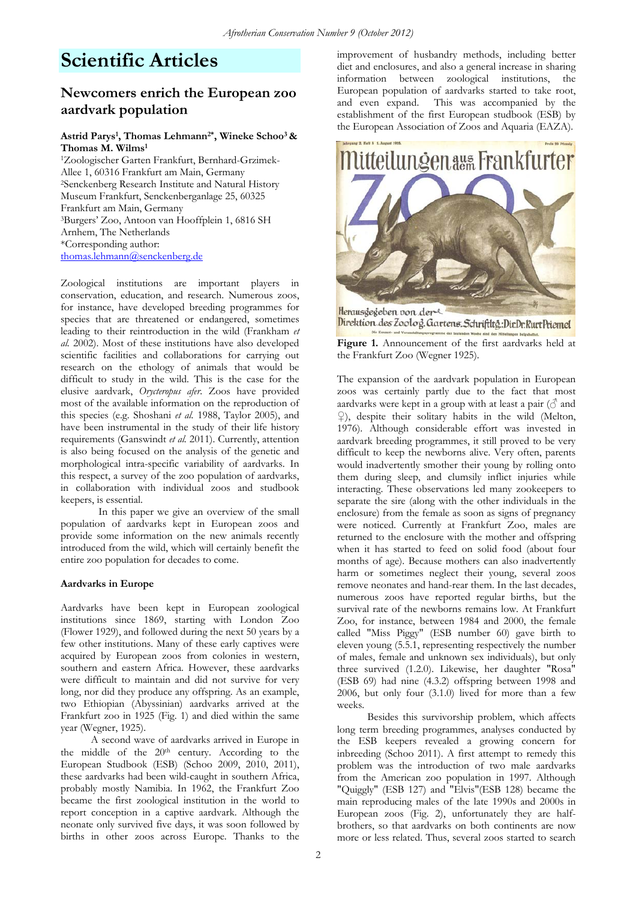## **Scientific Articles**

## **Newcomers enrich the European zoo aardvark population**

### **Astrid Parys1, Thomas Lehmann2\*, Wineke Schoo3 & Thomas M. Wilms1**

1Zoologischer Garten Frankfurt, Bernhard-Grzimek-Allee 1, 60316 Frankfurt am Main, Germany 2Senckenberg Research Institute and Natural History Museum Frankfurt, Senckenberganlage 25, 60325 Frankfurt am Main, Germany 3Burgers' Zoo, Antoon van Hooffplein 1, 6816 SH Arnhem, The Netherlands \*Corresponding author: thomas.lehmann@senckenberg.de

Zoological institutions are important players in conservation, education, and research. Numerous zoos, for instance, have developed breeding programmes for species that are threatened or endangered, sometimes leading to their reintroduction in the wild (Frankham *et al.* 2002). Most of these institutions have also developed scientific facilities and collaborations for carrying out research on the ethology of animals that would be difficult to study in the wild. This is the case for the elusive aardvark, *Orycteropus afer*. Zoos have provided most of the available information on the reproduction of this species (e.g. Shoshani *et al.* 1988, Taylor 2005), and have been instrumental in the study of their life history requirements (Ganswindt *et al.* 2011). Currently, attention is also being focused on the analysis of the genetic and morphological intra-specific variability of aardvarks. In this respect, a survey of the zoo population of aardvarks, in collaboration with individual zoos and studbook keepers, is essential.

In this paper we give an overview of the small population of aardvarks kept in European zoos and provide some information on the new animals recently introduced from the wild, which will certainly benefit the entire zoo population for decades to come.

### **Aardvarks in Europe**

Aardvarks have been kept in European zoological institutions since 1869, starting with London Zoo (Flower 1929), and followed during the next 50 years by a few other institutions. Many of these early captives were acquired by European zoos from colonies in western, southern and eastern Africa. However, these aardvarks were difficult to maintain and did not survive for very long, nor did they produce any offspring. As an example, two Ethiopian (Abyssinian) aardvarks arrived at the Frankfurt zoo in 1925 (Fig. 1) and died within the same year (Wegner, 1925).

A second wave of aardvarks arrived in Europe in the middle of the  $20<sup>th</sup>$  century. According to the European Studbook (ESB) (Schoo 2009, 2010, 2011), these aardvarks had been wild-caught in southern Africa, probably mostly Namibia. In 1962, the Frankfurt Zoo became the first zoological institution in the world to report conception in a captive aardvark. Although the neonate only survived five days, it was soon followed by births in other zoos across Europe. Thanks to the

improvement of husbandry methods, including better diet and enclosures, and also a general increase in sharing information between zoological institutions, the European population of aardvarks started to take root, and even expand. This was accompanied by the establishment of the first European studbook (ESB) by the European Association of Zoos and Aquaria (EAZA).



Direktion des Zoolog. Gartens. Schriftltg.: Dir.Dr. Rurt Priemel

**Figure 1.** Announcement of the first aardvarks held at the Frankfurt Zoo (Wegner 1925).

The expansion of the aardvark population in European zoos was certainly partly due to the fact that most aardvarks were kept in a group with at least a pair  $(\delta)$  and ♀), despite their solitary habits in the wild (Melton, 1976). Although considerable effort was invested in aardvark breeding programmes, it still proved to be very difficult to keep the newborns alive. Very often, parents would inadvertently smother their young by rolling onto them during sleep, and clumsily inflict injuries while interacting. These observations led many zookeepers to separate the sire (along with the other individuals in the enclosure) from the female as soon as signs of pregnancy were noticed. Currently at Frankfurt Zoo, males are returned to the enclosure with the mother and offspring when it has started to feed on solid food (about four months of age). Because mothers can also inadvertently harm or sometimes neglect their young, several zoos remove neonates and hand-rear them. In the last decades, numerous zoos have reported regular births, but the survival rate of the newborns remains low. At Frankfurt Zoo, for instance, between 1984 and 2000, the female called "Miss Piggy" (ESB number 60) gave birth to eleven young (5.5.1, representing respectively the number of males, female and unknown sex individuals), but only three survived (1.2.0). Likewise, her daughter "Rosa" (ESB 69) had nine (4.3.2) offspring between 1998 and 2006, but only four (3.1.0) lived for more than a few weeks.

 Besides this survivorship problem, which affects long term breeding programmes, analyses conducted by the ESB keepers revealed a growing concern for inbreeding (Schoo 2011). A first attempt to remedy this problem was the introduction of two male aardvarks from the American zoo population in 1997. Although "Quiggly" (ESB 127) and "Elvis"(ESB 128) became the main reproducing males of the late 1990s and 2000s in European zoos (Fig. 2), unfortunately they are halfbrothers, so that aardvarks on both continents are now more or less related. Thus, several zoos started to search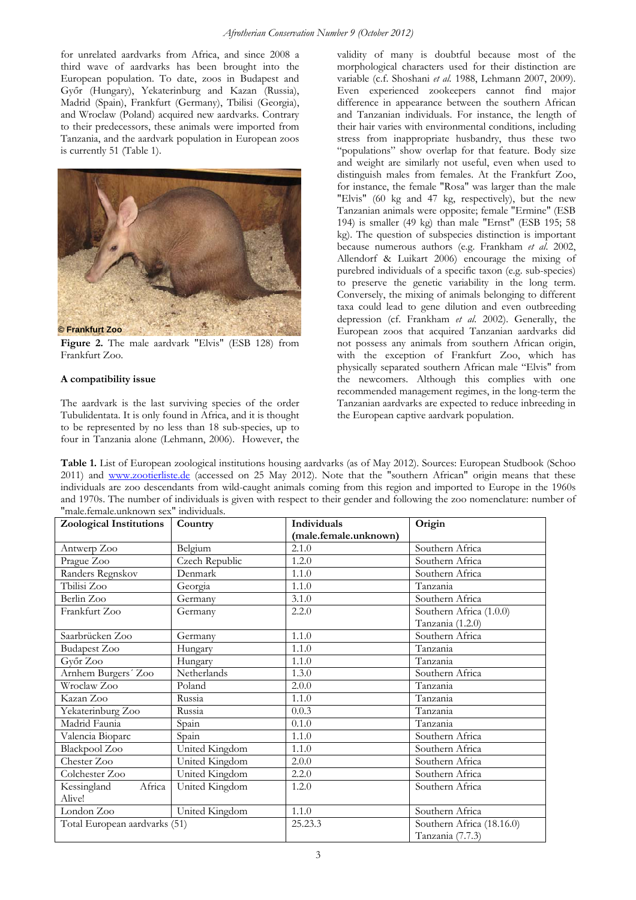for unrelated aardvarks from Africa, and since 2008 a third wave of aardvarks has been brought into the European population. To date, zoos in Budapest and Győr (Hungary), Yekaterinburg and Kazan (Russia), Madrid (Spain), Frankfurt (Germany), Tbilisi (Georgia), and Wroclaw (Poland) acquired new aardvarks. Contrary to their predecessors, these animals were imported from Tanzania, and the aardvark population in European zoos is currently 51 (Table 1).



**Figure 2.** The male aardvark "Elvis" (ESB 128) from Frankfurt Zoo.

### **A compatibility issue**

The aardvark is the last surviving species of the order Tubulidentata. It is only found in Africa, and it is thought to be represented by no less than 18 sub-species, up to four in Tanzania alone (Lehmann, 2006). However, the

validity of many is doubtful because most of the morphological characters used for their distinction are variable (c.f. Shoshani *et al.* 1988, Lehmann 2007, 2009). Even experienced zookeepers cannot find major difference in appearance between the southern African and Tanzanian individuals. For instance, the length of their hair varies with environmental conditions, including stress from inappropriate husbandry, thus these two "populations" show overlap for that feature. Body size and weight are similarly not useful, even when used to distinguish males from females. At the Frankfurt Zoo, for instance, the female "Rosa" was larger than the male "Elvis" (60 kg and 47 kg, respectively), but the new Tanzanian animals were opposite; female "Ermine" (ESB 194) is smaller (49 kg) than male "Ernst" (ESB 195; 58 kg). The question of subspecies distinction is important because numerous authors (e.g. Frankham *et al*. 2002, Allendorf & Luikart 2006) encourage the mixing of purebred individuals of a specific taxon (e.g. sub-species) to preserve the genetic variability in the long term. Conversely, the mixing of animals belonging to different taxa could lead to gene dilution and even outbreeding depression (cf. Frankham *et al*. 2002). Generally, the European zoos that acquired Tanzanian aardvarks did not possess any animals from southern African origin, with the exception of Frankfurt Zoo, which has physically separated southern African male "Elvis" from the newcomers. Although this complies with one recommended management regimes, in the long-term the Tanzanian aardvarks are expected to reduce inbreeding in the European captive aardvark population.

**Table 1.** List of European zoological institutions housing aardvarks (as of May 2012). Sources: European Studbook (Schoo 2011) and www.zootierliste.de (accessed on 25 May 2012). Note that the "southern African" origin means that these individuals are zoo descendants from wild-caught animals coming from this region and imported to Europe in the 1960s and 1970s. The number of individuals is given with respect to their gender and following the zoo nomenclature: number of "male.female.unknown sex" individuals.

| <b>Zoological Institutions</b> | Country        | Individuals           | Origin                    |  |
|--------------------------------|----------------|-----------------------|---------------------------|--|
|                                |                | (male.female.unknown) |                           |  |
| Antwerp Zoo                    | Belgium        | 2.1.0                 | Southern Africa           |  |
| Prague Zoo                     | Czech Republic | 1.2.0                 | Southern Africa           |  |
| Randers Regnskov               | Denmark        | 1.1.0                 | Southern Africa           |  |
| Tbilisi Zoo                    | Georgia        | 1.1.0                 | Tanzania                  |  |
| Berlin Zoo                     | Germany        | 3.1.0                 | Southern Africa           |  |
| Frankfurt Zoo                  | Germany        | 2.2.0                 | Southern Africa (1.0.0)   |  |
|                                |                |                       | Tanzania (1.2.0)          |  |
| Saarbrücken Zoo                | Germany        | 1.1.0                 | Southern Africa           |  |
| <b>Budapest Zoo</b>            | Hungary        | 1.1.0                 | Tanzania                  |  |
| Győr Zoo                       | Hungary        | 1.1.0                 | Tanzania                  |  |
| Arnhem Burgers' Zoo            | Netherlands    | 1.3.0                 | Southern Africa           |  |
| Wroclaw Zoo                    | Poland         | 2.0.0                 | Tanzania                  |  |
| Kazan Zoo                      | Russia         | 1.1.0                 | Tanzania                  |  |
| Yekaterinburg Zoo              | Russia         | 0.0.3                 | Tanzania                  |  |
| Madrid Faunia                  | Spain          | 0.1.0                 | Tanzania                  |  |
| Valencia Bioparc               | Spain          | 1.1.0                 | Southern Africa           |  |
| Blackpool Zoo                  | United Kingdom | 1.1.0                 | Southern Africa           |  |
| Chester Zoo                    | United Kingdom | 2.0.0                 | Southern Africa           |  |
| Colchester Zoo                 | United Kingdom | 2.2.0                 | Southern Africa           |  |
| Africa<br>Kessingland          | United Kingdom | 1.2.0                 | Southern Africa           |  |
| Alive!                         |                |                       |                           |  |
| London Zoo                     | United Kingdom | 1.1.0                 | Southern Africa           |  |
| Total European aardvarks (51)  |                | 25.23.3               | Southern Africa (18.16.0) |  |
|                                |                |                       | Tanzania (7.7.3)          |  |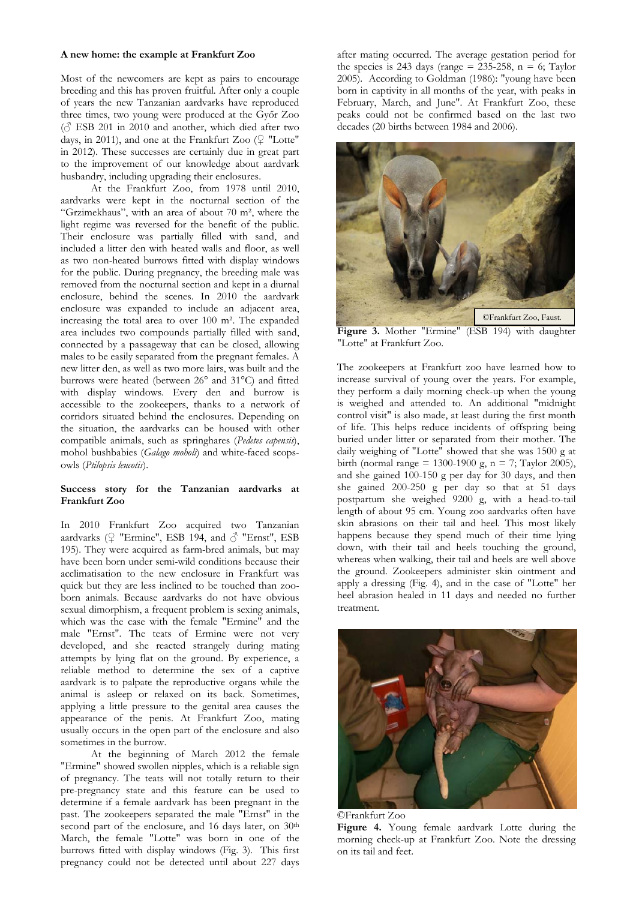#### **A new home: the example at Frankfurt Zoo**

Most of the newcomers are kept as pairs to encourage breeding and this has proven fruitful. After only a couple of years the new Tanzanian aardvarks have reproduced three times, two young were produced at the Győr Zoo  $\left(\mathcal{O}\right)$  ESB 201 in 2010 and another, which died after two days, in 2011), and one at the Frankfurt Zoo (♀ "Lotte" in 2012). These successes are certainly due in great part to the improvement of our knowledge about aardvark husbandry, including upgrading their enclosures.

 At the Frankfurt Zoo, from 1978 until 2010, aardvarks were kept in the nocturnal section of the "Grzimekhaus", with an area of about 70 m², where the light regime was reversed for the benefit of the public. Their enclosure was partially filled with sand, and included a litter den with heated walls and floor, as well as two non-heated burrows fitted with display windows for the public. During pregnancy, the breeding male was removed from the nocturnal section and kept in a diurnal enclosure, behind the scenes. In 2010 the aardvark enclosure was expanded to include an adjacent area, increasing the total area to over 100 m². The expanded area includes two compounds partially filled with sand, connected by a passageway that can be closed, allowing males to be easily separated from the pregnant females. A new litter den, as well as two more lairs, was built and the burrows were heated (between 26° and 31°C) and fitted with display windows. Every den and burrow is accessible to the zookeepers, thanks to a network of corridors situated behind the enclosures. Depending on the situation, the aardvarks can be housed with other compatible animals, such as springhares (*Pedetes capensis*), mohol bushbabies (*Galago moholi*) and white-faced scopsowls (*Ptilopsis leucotis*).

### **Success story for the Tanzanian aardvarks at Frankfurt Zoo**

In 2010 Frankfurt Zoo acquired two Tanzanian aardvarks ( $\mathcal{Q}$  "Ermine", ESB 194, and  $\mathcal{Q}$  "Ernst", ESB 195). They were acquired as farm-bred animals, but may have been born under semi-wild conditions because their acclimatisation to the new enclosure in Frankfurt was quick but they are less inclined to be touched than zooborn animals. Because aardvarks do not have obvious sexual dimorphism, a frequent problem is sexing animals, which was the case with the female "Ermine" and the male "Ernst". The teats of Ermine were not very developed, and she reacted strangely during mating attempts by lying flat on the ground. By experience, a reliable method to determine the sex of a captive aardvark is to palpate the reproductive organs while the animal is asleep or relaxed on its back. Sometimes, applying a little pressure to the genital area causes the appearance of the penis. At Frankfurt Zoo, mating usually occurs in the open part of the enclosure and also sometimes in the burrow.

 At the beginning of March 2012 the female "Ermine" showed swollen nipples, which is a reliable sign of pregnancy. The teats will not totally return to their pre-pregnancy state and this feature can be used to determine if a female aardvark has been pregnant in the past. The zookeepers separated the male "Ernst" in the second part of the enclosure, and 16 days later, on 30<sup>th</sup> March, the female "Lotte" was born in one of the burrows fitted with display windows (Fig. 3). This first pregnancy could not be detected until about 227 days after mating occurred. The average gestation period for the species is 243 days (range =  $235-258$ , n = 6; Taylor 2005). According to Goldman (1986): "young have been born in captivity in all months of the year, with peaks in February, March, and June". At Frankfurt Zoo, these peaks could not be confirmed based on the last two decades (20 births between 1984 and 2006).



**Figure 3.** Mother "Ermine" (ESB 194) with daughter "Lotte" at Frankfurt Zoo.

The zookeepers at Frankfurt zoo have learned how to increase survival of young over the years. For example, they perform a daily morning check-up when the young is weighed and attended to. An additional "midnight control visit" is also made, at least during the first month of life. This helps reduce incidents of offspring being buried under litter or separated from their mother. The daily weighing of "Lotte" showed that she was 1500 g at birth (normal range = 1300-1900 g,  $n = 7$ ; Taylor 2005), and she gained 100-150 g per day for 30 days, and then she gained 200-250 g per day so that at 51 days postpartum she weighed 9200 g, with a head-to-tail length of about 95 cm. Young zoo aardvarks often have skin abrasions on their tail and heel. This most likely happens because they spend much of their time lying down, with their tail and heels touching the ground, whereas when walking, their tail and heels are well above the ground. Zookeepers administer skin ointment and apply a dressing (Fig. 4), and in the case of "Lotte" her heel abrasion healed in 11 days and needed no further treatment.



©Frankfurt Zoo **Figure 4.** Young female aardvark Lotte during the morning check-up at Frankfurt Zoo. Note the dressing on its tail and feet.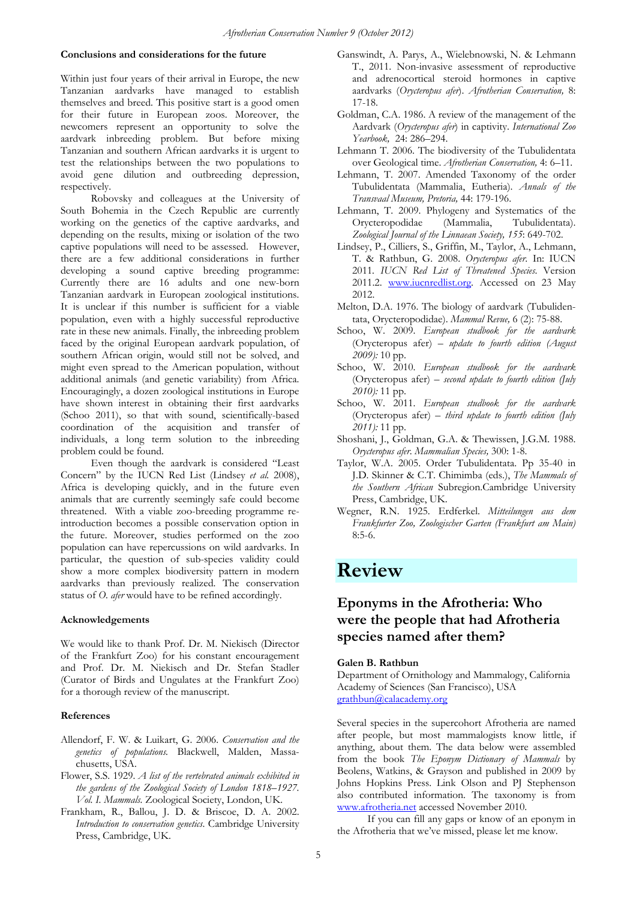### **Conclusions and considerations for the future**

Within just four years of their arrival in Europe, the new Tanzanian aardvarks have managed to establish themselves and breed. This positive start is a good omen for their future in European zoos. Moreover, the newcomers represent an opportunity to solve the aardvark inbreeding problem. But before mixing Tanzanian and southern African aardvarks it is urgent to test the relationships between the two populations to avoid gene dilution and outbreeding depression, respectively.

 Robovsky and colleagues at the University of South Bohemia in the Czech Republic are currently working on the genetics of the captive aardvarks, and depending on the results, mixing or isolation of the two captive populations will need to be assessed. However, there are a few additional considerations in further developing a sound captive breeding programme: Currently there are 16 adults and one new-born Tanzanian aardvark in European zoological institutions. It is unclear if this number is sufficient for a viable population, even with a highly successful reproductive rate in these new animals. Finally, the inbreeding problem faced by the original European aardvark population, of southern African origin, would still not be solved, and might even spread to the American population, without additional animals (and genetic variability) from Africa. Encouragingly, a dozen zoological institutions in Europe have shown interest in obtaining their first aardvarks (Schoo 2011), so that with sound, scientifically-based coordination of the acquisition and transfer of individuals, a long term solution to the inbreeding problem could be found.

 Even though the aardvark is considered "Least Concern" by the IUCN Red List (Lindsey *et al.* 2008), Africa is developing quickly, and in the future even animals that are currently seemingly safe could become threatened. With a viable zoo-breeding programme reintroduction becomes a possible conservation option in the future. Moreover, studies performed on the zoo population can have repercussions on wild aardvarks. In particular, the question of sub-species validity could show a more complex biodiversity pattern in modern aardvarks than previously realized. The conservation status of *O. afer* would have to be refined accordingly.

### **Acknowledgements**

We would like to thank Prof. Dr. M. Niekisch (Director of the Frankfurt Zoo) for his constant encouragement and Prof. Dr. M. Niekisch and Dr. Stefan Stadler (Curator of Birds and Ungulates at the Frankfurt Zoo) for a thorough review of the manuscript.

### **References**

- Allendorf, F. W. & Luikart, G. 2006. *Conservation and the genetics of populations.* Blackwell, Malden, Massachusetts, USA.
- Flower, S.S. 1929. *A list of the vertebrated animals exhibited in the gardens of the Zoological Society of London 1818–1927. Vol. I. Mammals.* Zoological Society, London, UK.
- Frankham, R., Ballou, J. D. & Briscoe, D. A. 2002. *Introduction to conservation genetics*. Cambridge University Press, Cambridge, UK.
- Ganswindt, A. Parys, A., Wielebnowski, N. & Lehmann T., 2011. Non-invasive assessment of reproductive and adrenocortical steroid hormones in captive aardvarks (*Orycteropus afer*). *Afrotherian Conservation,* 8: 17-18.
- Goldman, C.A. 1986. A review of the management of the Aardvark (*Orycteropus afer*) in captivity. *International Zoo Yearbook,* 24: 286–294.
- Lehmann T. 2006. The biodiversity of the Tubulidentata over Geological time. *Afrotherian Conservation,* 4: 6–11.
- Lehmann, T. 2007. Amended Taxonomy of the order Tubulidentata (Mammalia, Eutheria). *Annals of the Transvaal Museum, Pretoria,* 44: 179-196.
- Lehmann, T. 2009. Phylogeny and Systematics of the Orycteropodidae (Mammalia, Tubulidentata). *Zoological Journal of the Linnaean Society, 155*: 649-702.
- Lindsey, P., Cilliers, S., Griffin, M., Taylor, A., Lehmann, T. & Rathbun, G. 2008. *Orycteropus afer*. In: IUCN 2011*. IUCN Red List of Threatened Species*. Version 2011.2. www.iucnredlist.org. Accessed on 23 May 2012.
- Melton, D.A. 1976. The biology of aardvark (Tubulidentata, Orycteropodidae). *Mammal Revue,* 6 (2): 75-88.
- Schoo, W. 2009. *European studbook for the aardvark*  (Orycteropus afer) *– update to fourth edition (August 2009):* 10 pp.
- Schoo, W. 2010. *European studbook for the aardvark*  (Orycteropus afer) *– second update to fourth edition (July 2010):* 11 pp.
- Schoo, W. 2011. *European studbook for the aardvark*  (Orycteropus afer) *– third update to fourth edition (July 2011):* 11 pp.
- Shoshani, J., Goldman, G.A. & Thewissen, J.G.M. 1988. *Orycteropus afer*. *Mammalian Species,* 300: 1-8.
- Taylor, W.A. 2005. Order Tubulidentata. Pp 35-40 in J.D. Skinner & C.T. Chimimba (eds.), *The Mammals of the Southern African* Subregion.Cambridge University Press, Cambridge, UK.
- Wegner, R.N. 1925. Erdferkel. *Mitteilungen aus dem Frankfurter Zoo, Zoologischer Garten (Frankfurt am Main)*  $8.5 - 6$

## **Review**

## **Eponyms in the Afrotheria: Who were the people that had Afrotheria species named after them?**

### **Galen B. Rathbun**

Department of Ornithology and Mammalogy, California Academy of Sciences (San Francisco), USA grathbun@calacademy.org

Several species in the supercohort Afrotheria are named after people, but most mammalogists know little, if anything, about them. The data below were assembled from the book *The Eponym Dictionary of Mammals* by Beolens, Watkins, & Grayson and published in 2009 by Johns Hopkins Press. Link Olson and PJ Stephenson also contributed information. The taxonomy is from www.afrotheria.net accessed November 2010.

If you can fill any gaps or know of an eponym in the Afrotheria that we've missed, please let me know.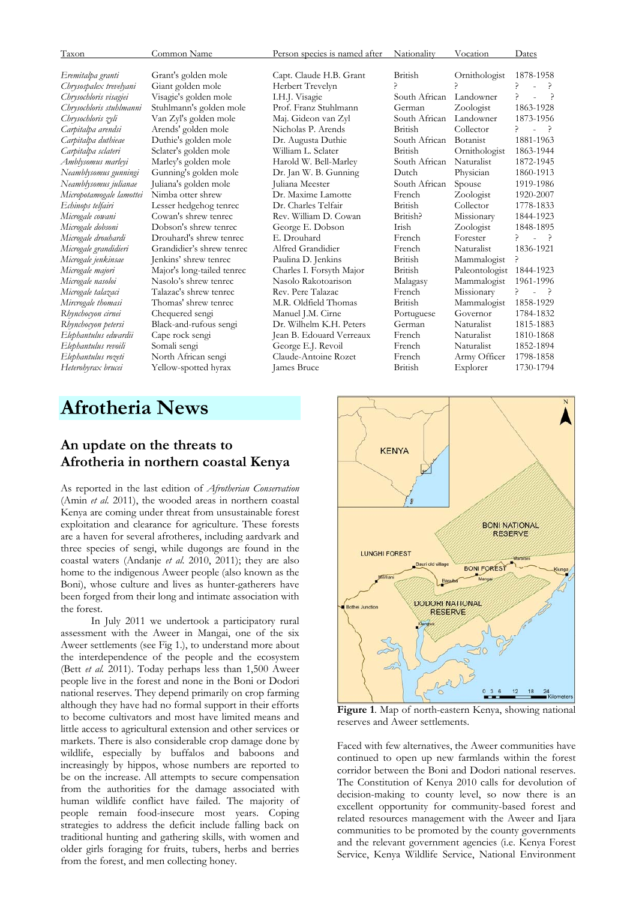| Taxon                    | Common Name                | Person species is named after | Nationality    | Vocation        | Dates                                           |
|--------------------------|----------------------------|-------------------------------|----------------|-----------------|-------------------------------------------------|
| Eremitalpa granti        | Grant's golden mole        | Capt. Claude H.B. Grant       | British        | Ornithologist   | 1878-1958                                       |
| Chrysospalex trevelyani  | Giant golden mole          | Herbert Trevelyn              | ς              |                 | ç                                               |
| Chrysochloris visagiei   | Visagie's golden mole      | I.H.J. Visagie                | South African  | Landowner       | $\rightarrow$<br>P.<br>$\overline{a}$           |
| Chrysochloris stuhlmanni | Stuhlmann's golden mole    | Prof. Franz Stuhlmann         | German         | Zoologist       | 1863-1928                                       |
| Chrysochloris zyli       | Van Zyl's golden mole      | Maj. Gideon van Zyl           | South African  | Landowner       | 1873-1956                                       |
| Carpitalpa arendsi       | Arends' golden mole        | Nicholas P. Arends            | British        | Collector       | $\mathcal{L}$<br>$ \rightarrow$                 |
| Carpitalpa duthieae      | Duthie's golden mole       | Dr. Augusta Duthie            | South African  | <b>Botanist</b> | 1881-1963                                       |
| Carpitalpa sclateri      | Sclater's golden mole      | William L. Sclater            | <b>British</b> | Ornithologist   | 1863-1944                                       |
| Amblysomus marleyi       | Marley's golden mole       | Harold W. Bell-Marley         | South African  | Naturalist      | 1872-1945                                       |
| Neamblysomus gunningi    | Gunning's golden mole      | Dr. Jan W. B. Gunning         | Dutch          | Physician       | 1860-1913                                       |
| Neamblysomus julianae    | Juliana's golden mole      | Juliana Meester               | South African  | Spouse          | 1919-1986                                       |
| Micropotamogale lamottei | Nimba otter shrew          | Dr. Maxime Lamotte            | French         | Zoologist       | 1920-2007                                       |
| Echinops telfairi        | Lesser hedgehog tenrec     | Dr. Charles Telfair           | British        | Collector       | 1778-1833                                       |
| Microgale cowani         | Cowan's shrew tenrec       | Rev. William D. Cowan         | British?       | Missionary      | 1844-1923                                       |
| Microgale dobsoni        | Dobson's shrew tenrec      | George E. Dobson              | <b>Irish</b>   | Zoologist       | 1848-1895                                       |
| Microgale droubardi      | Drouhard's shrew tenrec    | E. Drouhard                   | French         | Forester        | $\rightarrow$<br>$\overline{\phantom{a}}$       |
| Microgale grandidieri    | Grandidier's shrew tenrec  | Alfred Grandidier             | French         | Naturalist      | 1836-1921                                       |
| Microgale jenkinsae      | Jenkins' shrew tenrec      | Paulina D. Jenkins            | <b>British</b> | Mammalogist     | ç                                               |
| Microgale majori         | Major's long-tailed tenrec | Charles I. Forsyth Major      | <b>British</b> | Paleontologist  | 1844-1923                                       |
| Microgale nasoloi        | Nasolo's shrew tenrec.     | Nasolo Rakotoarison           | Malagasy       | Mammalogist     | 1961-1996                                       |
| Microgale talazaci       | Talazac's shrew tenrec     | Rev. Pere Talazac             | French         | Missionary      | P.<br>$\rightarrow$<br>$\overline{\phantom{a}}$ |
| Mircrogale thomasi       | Thomas' shrew tenrec       | M.R. Oldfield Thomas          | <b>British</b> | Mammalogist     | 1858-1929                                       |
| Rhynchocyon cirnei       | Chequered sengi            | Manuel J.M. Cirne             | Portuguese     | Governor        | 1784-1832                                       |
| Rhynchocyon petersi      | Black-and-rufous sengi     | Dr. Wilhelm K.H. Peters       | German         | Naturalist      | 1815-1883                                       |
| Elephantulus edwardii    | Cape rock sengi            | Jean B. Edouard Verreaux      | French         | Naturalist      | 1810-1868                                       |
| Elephantulus revoili     | Somali sengi               | George E.J. Revoil            | French         | Naturalist      | 1852-1894                                       |
| Elephantulus rozeti      | North African sengi        | Claude-Antoine Rozet          | French         | Army Officer    | 1798-1858                                       |
| Heterohyrax brucei       | Yellow-spotted hyrax       | James Bruce                   | British        | Explorer        | 1730-1794                                       |
|                          |                            |                               |                |                 |                                                 |
|                          |                            |                               |                |                 |                                                 |

## **Afrotheria News**

### **An update on the threats to Afrotheria in northern coastal Kenya**

As reported in the last edition of *Afrotherian Conservation* (Amin *et al.* 2011), the wooded areas in northern coastal Kenya are coming under threat from unsustainable forest exploitation and clearance for agriculture. These forests are a haven for several afrotheres, including aardvark and three species of sengi, while dugongs are found in the coastal waters (Andanje *et al*. 2010, 2011); they are also home to the indigenous Aweer people (also known as the Boni), whose culture and lives as hunter-gatherers have been forged from their long and intimate association with the forest.

In July 2011 we undertook a participatory rural assessment with the Aweer in Mangai, one of the six Aweer settlements (see Fig 1.), to understand more about the interdependence of the people and the ecosystem (Bett *et al.* 2011). Today perhaps less than 1,500 Aweer people live in the forest and none in the Boni or Dodori national reserves. They depend primarily on crop farming although they have had no formal support in their efforts to become cultivators and most have limited means and little access to agricultural extension and other services or markets. There is also considerable crop damage done by wildlife, especially by buffalos and baboons and increasingly by hippos, whose numbers are reported to be on the increase. All attempts to secure compensation from the authorities for the damage associated with human wildlife conflict have failed. The majority of people remain food-insecure most years. Coping strategies to address the deficit include falling back on traditional hunting and gathering skills, with women and older girls foraging for fruits, tubers, herbs and berries from the forest, and men collecting honey.



**Figure 1**. Map of north-eastern Kenya, showing national reserves and Aweer settlements.

Faced with few alternatives, the Aweer communities have continued to open up new farmlands within the forest corridor between the Boni and Dodori national reserves. The Constitution of Kenya 2010 calls for devolution of decision-making to county level, so now there is an excellent opportunity for community-based forest and related resources management with the Aweer and Ijara communities to be promoted by the county governments and the relevant government agencies (i.e. Kenya Forest Service, Kenya Wildlife Service, National Environment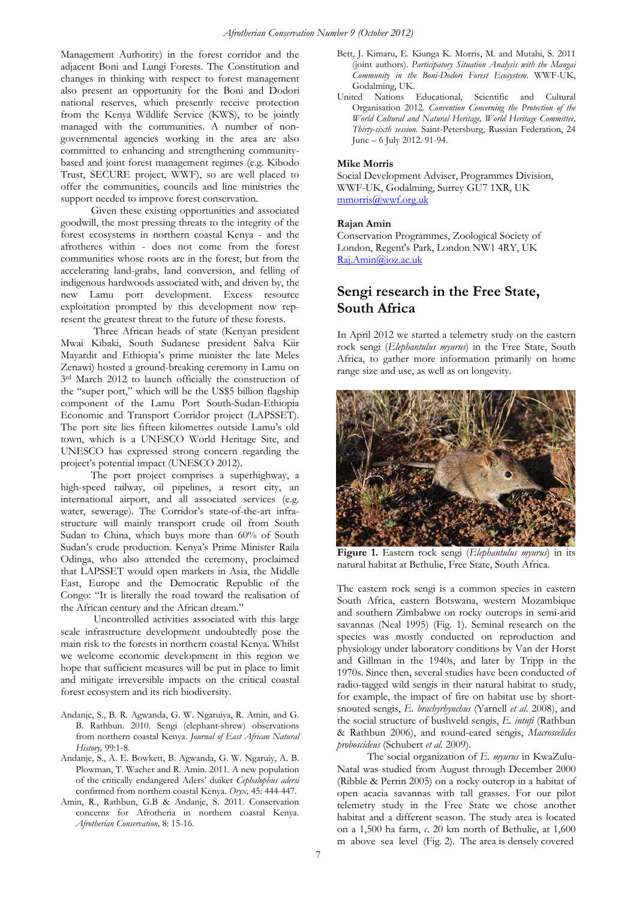Management Authority) in the forest corridor and the adjacent Boni and Lungi Forests. The Constitution and changes in thinking with respect to forest management also present an opportunity for the Boni and Dodori national reserves, which presently receive protection from the Kenya Wildlife Service (KWS), to be jointly managed with the communities. A number of nongovernmental agencies working in the area are also committed to enhancing and strengthening communitybased and joint forest management regimes (e.g. Kibodo Trust, SECURE project, WWF), so are well placed to offer the communities, councils and line ministries the support needed to improve forest conservation.

Given these existing opportunities and associated goodwill, the most pressing threats to the integrity of the forest ecosystems in northern coastal Kenya - and the afrotheres within - does not come from the forest communities whose roots are in the forest, but from the accelerating land-grabs, land conversion, and felling of indigenous hardwoods associated with, and driven by, the new Lamu port development. Excess resource exploitation prompted by this development now represent the greatest threat to the future of these forests.

 Three African heads of state (Kenyan president Mwai Kibaki, South Sudanese president Salva Kiir Mayardit and Ethiopia's prime minister the late Meles Zenawi) hosted a ground-breaking ceremony in Lamu on 3rd March 2012 to launch officially the construction of the "super port," which will be the US\$5 billion flagship component of the Lamu Port South-Sudan-Ethiopia Economic and Transport Corridor project (LAPSSET). The port site lies fifteen kilometres outside Lamu's old town, which is a UNESCO World Heritage Site, and UNESCO has expressed strong concern regarding the project's potential impact (UNESCO 2012).

The port project comprises a superhighway, a high-speed railway, oil pipelines, a resort city, an international airport, and all associated services (e.g. water, sewerage). The Corridor's state-of-the-art infrastructure will mainly transport crude oil from South Sudan to China, which buys more than 60% of South Sudan's crude production. Kenya's Prime Minister Raila Odinga, who also attended the ceremony, proclaimed that LAPSSET would open markets in Asia, the Middle East, Europe and the Democratic Republic of the Congo: "It is literally the road toward the realisation of the African century and the African dream."

 Uncontrolled activities associated with this large scale infrastructure development undoubtedly pose the main risk to the forests in northern coastal Kenya. Whilst we welcome economic development in this region we hope that sufficient measures will be put in place to limit and mitigate irreversible impacts on the critical coastal forest ecosystem and its rich biodiversity.

- Andanje, S., B. R. Agwanda, G. W. Ngaruiya, R. Amin, and G. B. Rathbun. 2010. Sengi (elephant-shrew) observations from northern coastal Kenya. *Journal of East African Natural History,* 99:1-8.
- Andanje, S., A. E. Bowkett, B. Agwanda, G. W. Ngaruiy, A. B. Plowman, T. Wacher and R. Amin. 2011. A new population of the critically endangered Aders' duiker *Cephalophus adersi*  confirmed from northern coastal Kenya. *Oryx,* 45: 444-447.
- Amin, R., Rathbun, G.B & Andanje, S. 2011. Conservation concerns for Afrotheria in northern coastal Kenya. *Afrotherian Conservation,* 8: 15-16.
- Bett, J. Kimaru, E. Kiunga K. Morris, M. and Mutahi, S. 2011 (joint authors). *Participatory Situation Analysis with the Mangai Community in the Boni-Dodori Forest Ecosystem*. WWF-UK, Godalming, UK.
- United Nations Educational, Scientific and Cultural Organisation 2012. *Convention Concerning the Protection of the World Cultural and Natural Heritage, World Heritage Committee, Thirty-sixth session.* Saint-Petersburg, Russian Federation, 24 June – 6 July 2012. 91-94.

### **Mike Morris**

Social Development Adviser, Programmes Division, WWF-UK, Godalming, Surrey GU7 1XR, UK mmorris@wwf.org.uk

### **Rajan Amin**

Conservation Programmes, Zoological Society of London, Regent's Park, London NW1 4RY, UK Raj.Amin@ioz.ac.uk

## **Sengi research in the Free State, South Africa**

In April 2012 we started a telemetry study on the eastern rock sengi (*Elephantulus myurus*) in the Free State, South Africa, to gather more information primarily on home range size and use, as well as on longevity.



**Figure 1.** Eastern rock sengi (*Elephantulus myurus*) in its natural habitat at Bethulie, Free State, South Africa.

The eastern rock sengi is a common species in eastern South Africa, eastern Botswana, western Mozambique and southern Zimbabwe on rocky outcrops in semi-arid savannas (Neal 1995) (Fig. 1). Seminal research on the species was mostly conducted on reproduction and physiology under laboratory conditions by Van der Horst and Gillman in the 1940s, and later by Tripp in the 1970s. Since then, several studies have been conducted of radio-tagged wild sengis in their natural habitat to study, for example, the impact of fire on habitat use by shortsnouted sengis, *E. brachyrhynchus* (Yarnell *et al.* 2008), and the social structure of bushveld sengis, *E. intufi* (Rathbun & Rathbun 2006), and round-eared sengis, *Macroscelides proboscideus* (Schubert *et al.* 2009).

 The social organization of *E. myurus* in KwaZulu-Natal was studied from August through December 2000 (Ribble & Perrin 2005) on a rocky outcrop in a habitat of open acacia savannas with tall grasses. For our pilot telemetry study in the Free State we chose another habitat and a different season. The study area is located on a 1,500 ha farm, *c*. 20 km north of Bethulie, at 1,600 m above sea level (Fig. 2). The area is densely covered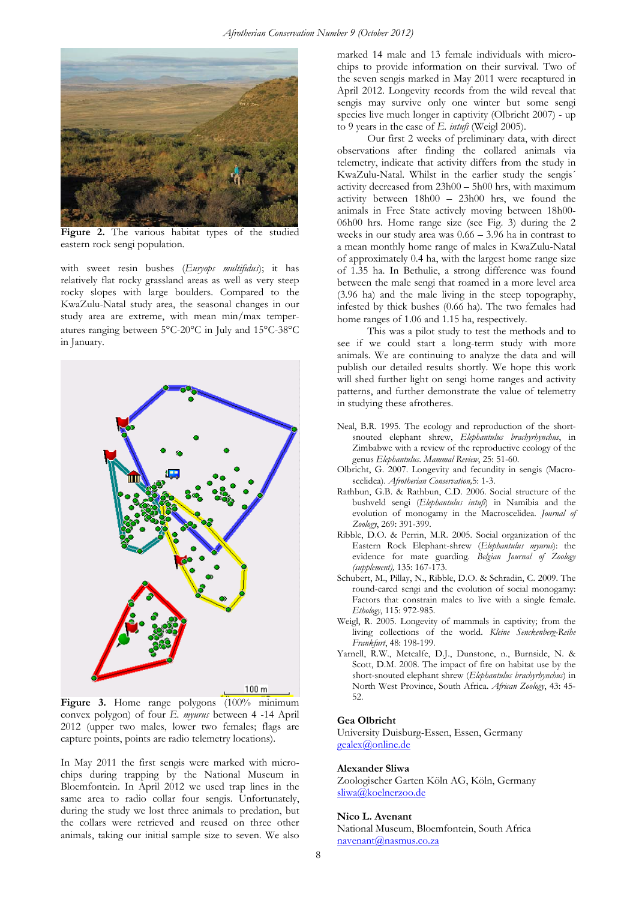

**Figure 2.** The various habitat types of the studied eastern rock sengi population.

with sweet resin bushes (*Euryops multifidus*); it has relatively flat rocky grassland areas as well as very steep rocky slopes with large boulders. Compared to the KwaZulu-Natal study area, the seasonal changes in our study area are extreme, with mean min/max temperatures ranging between 5°C-20°C in July and 15°C-38°C in January.



Figure 3. Home range polygons (100% minimum convex polygon) of four *E. myurus* between 4 -14 April 2012 (upper two males, lower two females; flags are capture points, points are radio telemetry locations).

In May 2011 the first sengis were marked with microchips during trapping by the National Museum in Bloemfontein. In April 2012 we used trap lines in the same area to radio collar four sengis. Unfortunately, during the study we lost three animals to predation, but the collars were retrieved and reused on three other animals, taking our initial sample size to seven. We also

marked 14 male and 13 female individuals with microchips to provide information on their survival. Two of the seven sengis marked in May 2011 were recaptured in April 2012. Longevity records from the wild reveal that sengis may survive only one winter but some sengi species live much longer in captivity (Olbricht 2007) - up to 9 years in the case of *E. intufi* (Weigl 2005).

Our first 2 weeks of preliminary data, with direct observations after finding the collared animals via telemetry, indicate that activity differs from the study in KwaZulu-Natal. Whilst in the earlier study the sengis´ activity decreased from 23h00 – 5h00 hrs, with maximum activity between 18h00 – 23h00 hrs, we found the animals in Free State actively moving between 18h00- 06h00 hrs. Home range size (see Fig. 3) during the 2 weeks in our study area was 0.66 – 3.96 ha in contrast to a mean monthly home range of males in KwaZulu-Natal of approximately 0.4 ha, with the largest home range size of 1.35 ha. In Bethulie, a strong difference was found between the male sengi that roamed in a more level area (3.96 ha) and the male living in the steep topography, infested by thick bushes (0.66 ha). The two females had home ranges of 1.06 and 1.15 ha, respectively.

This was a pilot study to test the methods and to see if we could start a long-term study with more animals. We are continuing to analyze the data and will publish our detailed results shortly. We hope this work will shed further light on sengi home ranges and activity patterns, and further demonstrate the value of telemetry in studying these afrotheres.

- Neal, B.R. 1995. The ecology and reproduction of the shortsnouted elephant shrew, *Elephantulus brachyrhynchus*, in Zimbabwe with a review of the reproductive ecology of the genus *Elephantulus*. *Mammal Review*, 25: 51-60.
- Olbricht, G. 2007. Longevity and fecundity in sengis (Macroscelidea). *Afrotherian Conservation,*5: 1-3.
- Rathbun, G.B. & Rathbun, C.D. 2006. Social structure of the bushveld sengi (*Elephantulus intufi*) in Namibia and the evolution of monogamy in the Macroscelidea. *Journal of Zoology*, 269: 391-399.
- Ribble, D.O. & Perrin, M.R. 2005. Social organization of the Eastern Rock Elephant-shrew (*Elephantulus myurus*): the evidence for mate guarding. *Belgian Journal of Zoology (supplement),* 135: 167-173.
- Schubert, M., Pillay, N., Ribble, D.O. & Schradin, C. 2009. The round-eared sengi and the evolution of social monogamy: Factors that constrain males to live with a single female. *Ethology*, 115: 972-985.
- Weigl, R. 2005. Longevity of mammals in captivity; from the living collections of the world. *Kleine Senckenberg-Reihe Frankfurt*, 48: 198-199.
- Yarnell, R.W., Metcalfe, D.J., Dunstone, n., Burnside, N. & Scott, D.M. 2008. The impact of fire on habitat use by the short-snouted elephant shrew (*Elephantulus brachyrhynchus*) in North West Province, South Africa. *African Zoology*, 43: 45- 52.

#### **Gea Olbricht**

University Duisburg-Essen, Essen, Germany gealex@online.de

### **Alexander Sliwa**

Zoologischer Garten Köln AG, Köln, Germany sliwa@koelnerzoo.de

### **Nico L. Avenant**

National Museum, Bloemfontein, South Africa navenant@nasmus.co.za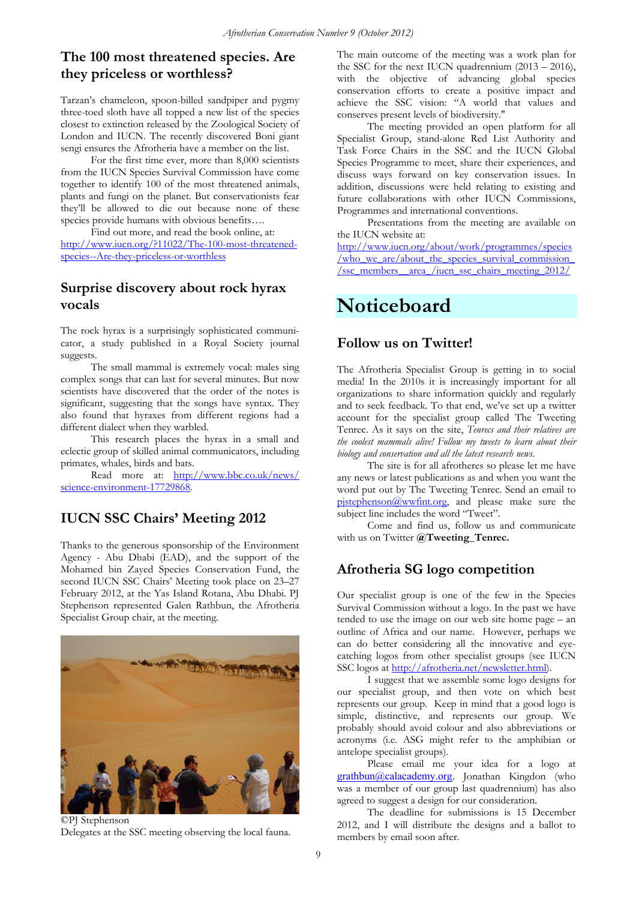## **The 100 most threatened species. Are they priceless or worthless?**

Tarzan's chameleon, spoon-billed sandpiper and pygmy three-toed sloth have all topped a new list of the species closest to extinction released by the Zoological Society of London and IUCN. The recently discovered Boni giant sengi ensures the Afrotheria have a member on the list.

For the first time ever, more than 8,000 scientists from the IUCN Species Survival Commission have come together to identify 100 of the most threatened animals, plants and fungi on the planet. But conservationists fear they'll be allowed to die out because none of these species provide humans with obvious benefits….

Find out more, and read the book online, at: http://www.iucn.org/?11022/The-100-most-threatenedspecies--Are-they-priceless-or-worthless

### **Surprise discovery about rock hyrax vocals**

The rock hyrax is a surprisingly sophisticated communicator, a study published in a Royal Society journal suggests.

The small mammal is extremely vocal: males sing complex songs that can last for several minutes. But now scientists have discovered that the order of the notes is significant, suggesting that the songs have syntax. They also found that hyraxes from different regions had a different dialect when they warbled.

This research places the hyrax in a small and eclectic group of skilled animal communicators, including primates, whales, birds and bats.

Read more at: http://www.bbc.co.uk/news/ science-environment-17729868.

## **IUCN SSC Chairs' Meeting 2012**

Thanks to the generous sponsorship of the Environment Agency - Abu Dhabi (EAD), and the support of the Mohamed bin Zayed Species Conservation Fund, the second IUCN SSC Chairs' Meeting took place on 23–27 February 2012, at the Yas Island Rotana, Abu Dhabi. PJ Stephenson represented Galen Rathbun, the Afrotheria Specialist Group chair, at the meeting.



©PJ Stephenson Delegates at the SSC meeting observing the local fauna.

The main outcome of the meeting was a work plan for the SSC for the next IUCN quadrennium  $(2013 - 2016)$ , with the objective of advancing global species conservation efforts to create a positive impact and achieve the SSC vision: "A world that values and conserves present levels of biodiversity."

The meeting provided an open platform for all Specialist Group, stand-alone Red List Authority and Task Force Chairs in the SSC and the IUCN Global Species Programme to meet, share their experiences, and discuss ways forward on key conservation issues. In addition, discussions were held relating to existing and future collaborations with other IUCN Commissions, Programmes and international conventions.

Presentations from the meeting are available on the IUCN website at:

http://www.iucn.org/about/work/programmes/species  $/\overline{\text{who}}$  we are/about the species survival commission /ssc\_members\_\_area\_/iucn\_ssc\_chairs\_meeting\_2012/

## **Noticeboard**

### **Follow us on Twitter!**

The Afrotheria Specialist Group is getting in to social media! In the 2010s it is increasingly important for all organizations to share information quickly and regularly and to seek feedback. To that end, we've set up a twitter account for the specialist group called The Tweeting Tenrec. As it says on the site, *Tenrecs and their relatives are the coolest mammals alive! Follow my tweets to learn about their biology and conservation and all the latest research news.*

 The site is for all afrotheres so please let me have any news or latest publications as and when you want the word put out by The Tweeting Tenrec. Send an email to pjstephenson@wwfint.org, and please make sure the subject line includes the word "Tweet".

Come and find us, follow us and communicate with us on Twitter **@Tweeting\_Tenrec.**

## **Afrotheria SG logo competition**

Our specialist group is one of the few in the Species Survival Commission without a logo. In the past we have tended to use the image on our web site home page – an outline of Africa and our name. However, perhaps we can do better considering all the innovative and eyecatching logos from other specialist groups (see IUCN SSC logos at http://afrotheria.net/newsletter.html).

I suggest that we assemble some logo designs for our specialist group, and then vote on which best represents our group. Keep in mind that a good logo is simple, distinctive, and represents our group. We probably should avoid colour and also abbreviations or acronyms (i.e. ASG might refer to the amphibian or antelope specialist groups).

Please email me your idea for a logo at grathbun@calacademy.org. Jonathan Kingdon (who was a member of our group last quadrennium) has also agreed to suggest a design for our consideration.

The deadline for submissions is 15 December 2012, and I will distribute the designs and a ballot to members by email soon after.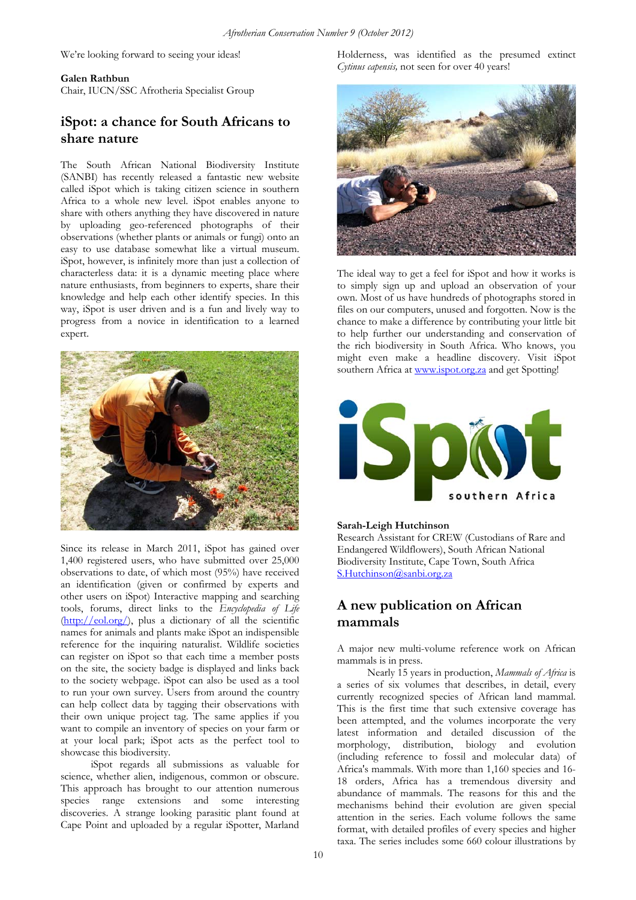We're looking forward to seeing your ideas!

### **Galen Rathbun**

Chair, IUCN/SSC Afrotheria Specialist Group

## **iSpot: a chance for South Africans to share nature**

The South African National Biodiversity Institute (SANBI) has recently released a fantastic new website called iSpot which is taking citizen science in southern Africa to a whole new level. iSpot enables anyone to share with others anything they have discovered in nature by uploading geo-referenced photographs of their observations (whether plants or animals or fungi) onto an easy to use database somewhat like a virtual museum. iSpot, however, is infinitely more than just a collection of characterless data: it is a dynamic meeting place where nature enthusiasts, from beginners to experts, share their knowledge and help each other identify species. In this way, iSpot is user driven and is a fun and lively way to progress from a novice in identification to a learned expert.



Since its release in March 2011, iSpot has gained over 1,400 registered users, who have submitted over 25,000 observations to date, of which most (95%) have received an identification (given or confirmed by experts and other users on iSpot) Interactive mapping and searching tools, forums, direct links to the *Encyclopedia of Life*   $(\frac{http://eol.org/}{, plus a dictionary of all the scientific})$ names for animals and plants make iSpot an indispensible reference for the inquiring naturalist. Wildlife societies can register on iSpot so that each time a member posts on the site, the society badge is displayed and links back to the society webpage. iSpot can also be used as a tool to run your own survey. Users from around the country can help collect data by tagging their observations with their own unique project tag. The same applies if you want to compile an inventory of species on your farm or at your local park; iSpot acts as the perfect tool to showcase this biodiversity.

iSpot regards all submissions as valuable for science, whether alien, indigenous, common or obscure. This approach has brought to our attention numerous species range extensions and some interesting discoveries. A strange looking parasitic plant found at Cape Point and uploaded by a regular iSpotter, Marland

Holderness, was identified as the presumed extinct *Cytinus capensis,* not seen for over 40 years!



The ideal way to get a feel for iSpot and how it works is to simply sign up and upload an observation of your own. Most of us have hundreds of photographs stored in files on our computers, unused and forgotten. Now is the chance to make a difference by contributing your little bit to help further our understanding and conservation of the rich biodiversity in South Africa. Who knows, you might even make a headline discovery. Visit iSpot southern Africa at www.ispot.org.za and get Spotting!



### **Sarah-Leigh Hutchinson**

Research Assistant for CREW (Custodians of Rare and Endangered Wildflowers), South African National Biodiversity Institute, Cape Town, South Africa S.Hutchinson@sanbi.org.za

## **A new publication on African mammals**

A major new multi-volume reference work on African mammals is in press.

Nearly 15 years in production, *Mammals of Africa* is a series of six volumes that describes, in detail, every currently recognized species of African land mammal. This is the first time that such extensive coverage has been attempted, and the volumes incorporate the very latest information and detailed discussion of the morphology, distribution, biology and evolution (including reference to fossil and molecular data) of Africa's mammals. With more than 1,160 species and 16- 18 orders, Africa has a tremendous diversity and abundance of mammals. The reasons for this and the mechanisms behind their evolution are given special attention in the series. Each volume follows the same format, with detailed profiles of every species and higher taxa. The series includes some 660 colour illustrations by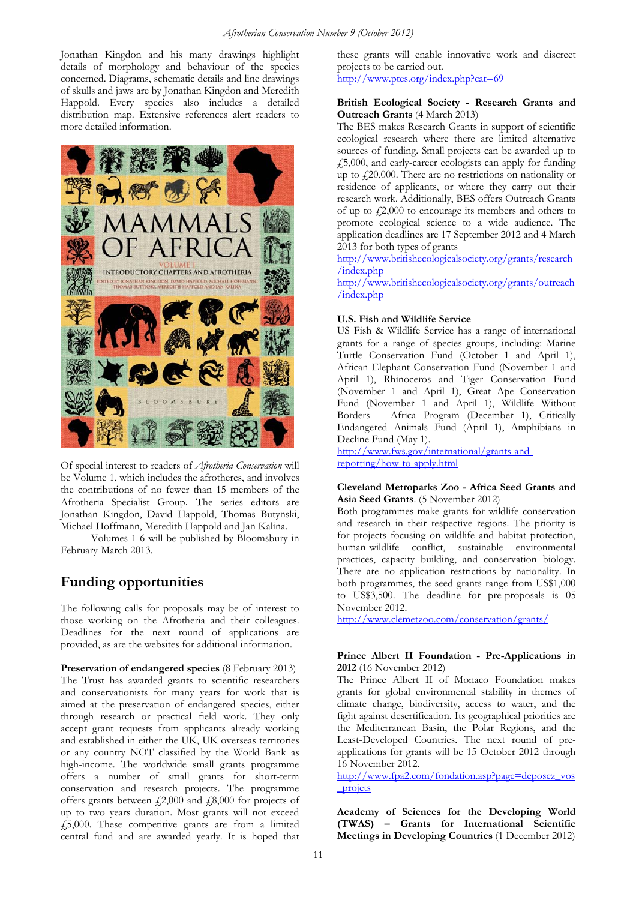Jonathan Kingdon and his many drawings highlight details of morphology and behaviour of the species concerned. Diagrams, schematic details and line drawings of skulls and jaws are by Jonathan Kingdon and Meredith Happold. Every species also includes a detailed distribution map. Extensive references alert readers to more detailed information.



Of special interest to readers of *Afrotheria Conservation* will be Volume 1, which includes the afrotheres, and involves the contributions of no fewer than 15 members of the Afrotheria Specialist Group. The series editors are Jonathan Kingdon, David Happold, Thomas Butynski, Michael Hoffmann, Meredith Happold and Jan Kalina.

Volumes 1-6 will be published by Bloomsbury in February-March 2013.

## **Funding opportunities**

The following calls for proposals may be of interest to those working on the Afrotheria and their colleagues. Deadlines for the next round of applications are provided, as are the websites for additional information.

**Preservation of endangered species** (8 February 2013) The Trust has awarded grants to scientific researchers and conservationists for many years for work that is aimed at the preservation of endangered species, either through research or practical field work. They only accept grant requests from applicants already working and established in either the UK, UK overseas territories or any country NOT classified by the World Bank as high-income. The worldwide small grants programme offers a number of small grants for short-term conservation and research projects. The programme offers grants between  $\text{\emph{f}}2,000$  and  $\text{\emph{f}}8,000$  for projects of up to two years duration. Most grants will not exceed £5,000. These competitive grants are from a limited central fund and are awarded yearly. It is hoped that these grants will enable innovative work and discreet projects to be carried out.

http://www.ptes.org/index.php?cat=69

### **British Ecological Society - Research Grants and Outreach Grants** (4 March 2013)

The BES makes Research Grants in support of scientific ecological research where there are limited alternative sources of funding. Small projects can be awarded up to £5,000, and early-career ecologists can apply for funding up to  $f20,000$ . There are no restrictions on nationality or residence of applicants, or where they carry out their research work. Additionally, BES offers Outreach Grants of up to  $\dot{\ell}$ , 2,000 to encourage its members and others to promote ecological science to a wide audience. The application deadlines are 17 September 2012 and 4 March 2013 for both types of grants

http://www.britishecologicalsociety.org/grants/research /index.php

http://www.britishecologicalsociety.org/grants/outreach /index.php

### **U.S. Fish and Wildlife Service**

US Fish & Wildlife Service has a range of international grants for a range of species groups, including: Marine Turtle Conservation Fund (October 1 and April 1), African Elephant Conservation Fund (November 1 and April 1), Rhinoceros and Tiger Conservation Fund (November 1 and April 1), Great Ape Conservation Fund (November 1 and April 1), Wildlife Without Borders – Africa Program (December 1), Critically Endangered Animals Fund (April 1), Amphibians in Decline Fund (May 1).

http://www.fws.gov/international/grants-andreporting/how-to-apply.html

### **Cleveland Metroparks Zoo - Africa Seed Grants and Asia Seed Grants**. (5 November 2012)

Both programmes make grants for wildlife conservation and research in their respective regions. The priority is for projects focusing on wildlife and habitat protection, human-wildlife conflict, sustainable environmental practices, capacity building, and conservation biology. There are no application restrictions by nationality. In both programmes, the seed grants range from US\$1,000 to US\$3,500. The deadline for pre-proposals is 05 November 2012.

http://www.clemetzoo.com/conservation/grants/

### **Prince Albert II Foundation - Pre-Applications in 2012** (16 November 2012)

The Prince Albert II of Monaco Foundation makes grants for global environmental stability in themes of climate change, biodiversity, access to water, and the fight against desertification. Its geographical priorities are the Mediterranean Basin, the Polar Regions, and the Least-Developed Countries. The next round of preapplications for grants will be 15 October 2012 through 16 November 2012.

http://www.fpa2.com/fondation.asp?page=deposez\_vos \_projets

**Academy of Sciences for the Developing World (TWAS) – Grants for International Scientific Meetings in Developing Countries** (1 December 2012)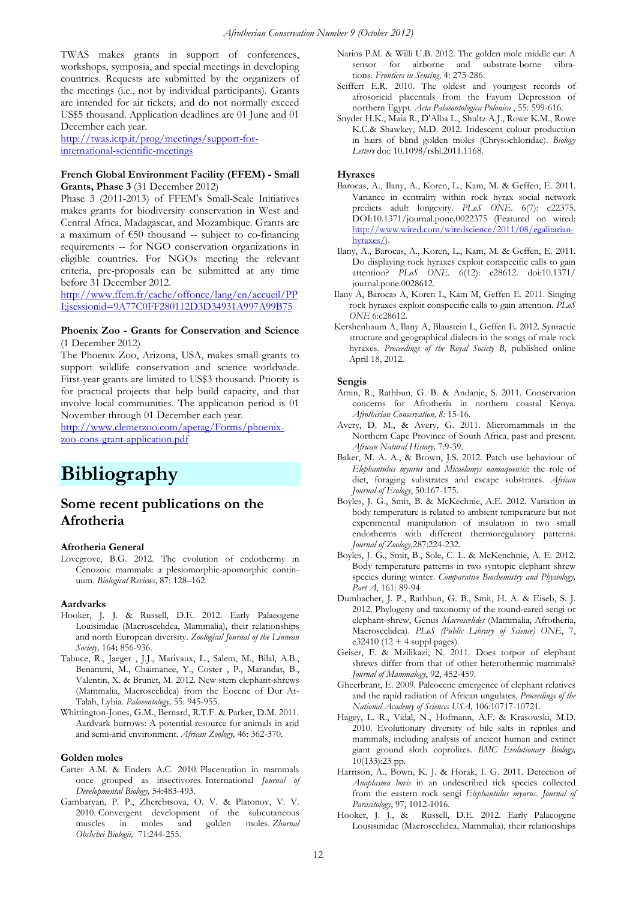TWAS makes grants in support of conferences, workshops, symposia, and special meetings in developing countries. Requests are submitted by the organizers of the meetings (i.e., not by individual participants). Grants are intended for air tickets, and do not normally exceed US\$5 thousand. Application deadlines are 01 June and 01 December each year.

http://twas.ictp.it/prog/meetings/support-forinternational-scientific-meetings

### **French Global Environment Facility (FFEM) - Small Grants, Phase 3** (31 December 2012)

Phase 3 (2011-2013) of FFEM's Small-Scale Initiatives makes grants for biodiversity conservation in West and Central Africa, Madagascar, and Mozambique. Grants are a maximum of  $E50$  thousand -- subject to co-financing requirements -- for NGO conservation organizations in eligible countries. For NGOs meeting the relevant criteria, pre-proposals can be submitted at any time before 31 December 2012.

http://www.ffem.fr/cache/offonce/lang/en/accueil/PP I;jsessionid=9A77C0FF280112D3D34931A997A99B75

### **Phoenix Zoo - Grants for Conservation and Science**  (1 December 2012)

The Phoenix Zoo, Arizona, USA, makes small grants to support wildlife conservation and science worldwide. First-year grants are limited to US\$3 thousand. Priority is for practical projects that help build capacity, and that involve local communities. The application period is 01 November through 01 December each year.

http://www.clemetzoo.com/apetag/Forms/phoenixzoo-cons-grant-application.pdf

## **Bibliography**

### **Some recent publications on the Afrotheria**

#### **Afrotheria General**

Lovegrove, B.G. 2012. The evolution of endothermy in Cenozoic mammals: a plesiomorphic-apomorphic continuum. *Biological Reviews,* 87: 128–162.

#### **Aardvarks**

- Hooker, J. J. & Russell, D.E. 2012. Early Palaeogene Louisinidae (Macroscelidea, Mammalia), their relationships and north European diversity. *Zoological Journal of the Linnean Society,* 164**:** 856-936.
- Tabuce, R., Jaeger , J.J., Marivaux, L., Salem, M., Bilal, A.B., Benammi, M., Chaimanee, Y., Coster , P., Marandat, B., Valentin, X. & Brunet, M. 2012. New stem elephant-shrews (Mammalia, Macroscelidea) from the Eocene of Dur At-Talah, Lybia. *Palaeontology,* 55: 945-955.
- Whittington-Jones, G.M., Bernard, R.T.F. & Parker, D.M. 2011. Aardvark burrows: A potential resource for animals in arid and semi-arid environment. *African Zoology,* 46: 362-370.

#### **Golden moles**

- Carter A.M. & Enders A.C. 2010. Placentation in mammals once grouped as insectivores. International *Journal of Developmental Biology,* 54:483-493.
- Gambaryan, P. P., Zherebtsova, O. V. & Platonov, V. V. 2010. Convergent development of the subcutaneous muscles in moles and golden moles. *Zhurnal Obshchei Biologii,* 71:244-255.
- Narins P.M. & Willi U.B. 2012. The golden mole middle ear: A sensor for airborne and substrate-borne vibrations. *Frontiers in Sensing,* 4: 275-286.
- Seiffert E.R. 2010. The oldest and youngest records of afrosoricid placentals from the Fayum Depression of northern Egypt. *Acta Palaeontologica Polonica* , 55: 599-616.
- Snyder H.K., Maia R., D'Alba L., Shultz A.J., Rowe K.M., Rowe K.C.& Shawkey, M.D. 2012. Iridescent colour production in hairs of blind golden moles (Chrysochloridae). *Biology Letters* doi: 10.1098/rsbl.2011.1168.

#### **Hyraxes**

- Barocas, A., Ilany, A., Koren, L., Kam, M. & Geffen, E. 2011. Variance in centrality within rock hyrax social network predicts adult longevity. *PLoS ONE*. 6(7): e22375. DOI:10.1371/journal.pone.0022375 (Featured on wired: http://www.wired.com/wiredscience/2011/08/egalitarianhyraxes/).
- Ilany, A., Barocas, A., Koren, L., Kam, M. & Geffen, E. 2011. Do displaying rock hyraxes exploit conspecific calls to gain attention? *PLoS ONE*. 6(12): e28612. doi:10.1371/ journal.pone.0028612.
- Ilany A, Barocas A, Koren L, Kam M, Geffen E. 2011. Singing rock hyraxes exploit conspecific calls to gain attention. *PLoS ONE* 6:e28612.
- Kershenbaum A, Ilany A, Blaustein L, Geffen E. 2012*.* Syntactic structure and geographical dialects in the songs of male rock hyraxes. *Proceedings of the Royal Society B,* published online April 18, 2012.

#### **Sengis**

- Amin, R., Rathbun, G. B. & Andanje, S. 2011. Conservation concerns for Afrotheria in northern coastal Kenya. *Afrotherian Conservation, 8:* 15-16.
- Avery, D. M., & Avery, G. 2011. Micromammals in the Northern Cape Province of South Africa, past and present. *African Natural History,* 7:9-39.
- Baker, M. A. A., & Brown, J.S. 2012. Patch use behaviour of *Elephantulus myurus* and *Micaelamys namaquensis*: the role of diet, foraging substrates and escape substrates. *African Journal of Ecology*, 50:167-175.
- Boyles, J. G., Smit, B. & McKechnie, A.E. 2012. Variation in body temperature is related to ambient temperature but not experimental manipulation of insulation in two small endotherms with different thermoregulatory patterns. *Journal of Zoology,*287:224-232.
- Boyles, J. G., Smit, B., Sole, C. L. & McKenchnie, A. E. 2012. Body temperature patterns in two syntopic elephant shrew species during winter. *Comparative Biochemistry and Physiology, Part A*, 161: 89-94.
- Dumbacher, J. P., Rathbun, G. B., Smit, H. A. & Eiseb, S. J. 2012. Phylogeny and taxonomy of the round-eared sengi or elephant-shrew, Genus *Macroscelides* (Mammalia, Afrotheria, Macroscelidea). *PLoS (Public Library of Science) ONE*, 7,  $e32410 (12 + 4 \text{ suppl pages}).$
- Geiser, F. & Mzilikazi, N. 2011. Does torpor of elephant shrews differ from that of other heterothermic mammals? *Journal of Mammalogy*, 92, 452-459.
- Gheerbrant, E. 2009. Paleocene emergence of elephant relatives and the rapid radiation of African ungulates. *Proceedings of the National Academy of Sciences USA,* 106:10717-10721.
- Hagey, L. R., Vidal, N., Hofmann, A.F. & Krasowski, M.D. 2010. Evolutionary diversity of bile salts in reptiles and mammals, including analysis of ancient human and extinct giant ground sloth coprolites. *BMC Evolutionary Biology,* 10(133):23 pp.
- Harrison, A., Bown, K. J. & Horak, I. G. 2011. Detection of *Anaplasma bovis* in an undescribed tick species collected from the eastern rock sengi *Elephantulus myurus*. *Journal of Parasitology*, 97, 1012-1016.
- Hooker, J. J., & Russell, D.E. 2012. Early Palaeogene Lousisinidae (Macroscelidea, Mammalia), their relationships